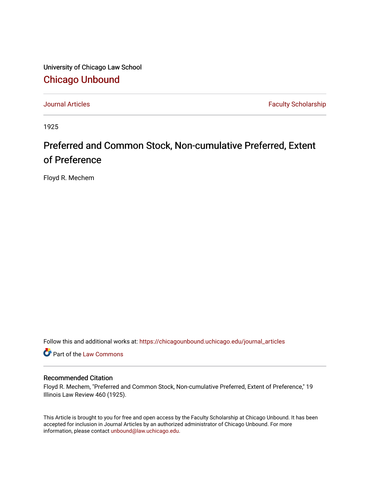University of Chicago Law School [Chicago Unbound](https://chicagounbound.uchicago.edu/)

[Journal Articles](https://chicagounbound.uchicago.edu/journal_articles) **Faculty Scholarship Faculty Scholarship** 

1925

## Preferred and Common Stock, Non-cumulative Preferred, Extent of Preference

Floyd R. Mechem

Follow this and additional works at: [https://chicagounbound.uchicago.edu/journal\\_articles](https://chicagounbound.uchicago.edu/journal_articles?utm_source=chicagounbound.uchicago.edu%2Fjournal_articles%2F8914&utm_medium=PDF&utm_campaign=PDFCoverPages) 

Part of the [Law Commons](http://network.bepress.com/hgg/discipline/578?utm_source=chicagounbound.uchicago.edu%2Fjournal_articles%2F8914&utm_medium=PDF&utm_campaign=PDFCoverPages)

## Recommended Citation

Floyd R. Mechem, "Preferred and Common Stock, Non-cumulative Preferred, Extent of Preference," 19 Illinois Law Review 460 (1925).

This Article is brought to you for free and open access by the Faculty Scholarship at Chicago Unbound. It has been accepted for inclusion in Journal Articles by an authorized administrator of Chicago Unbound. For more information, please contact [unbound@law.uchicago.edu](mailto:unbound@law.uchicago.edu).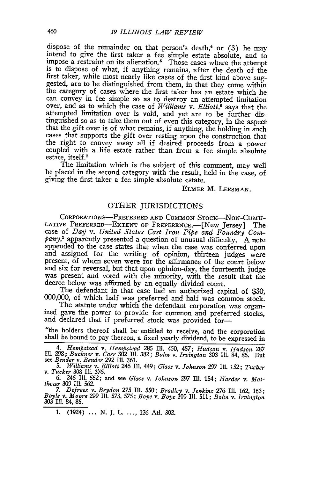dispose of the remainder on that person's death,<sup>4</sup> or (3) he may intend to give the first taker a fee simple estate absolute, and to impose a restraint on its alienation.<sup>5</sup> Those cases where the attempt is to dispose of what, if anything remains, after the death of the first taker, whi gested, are to be distinguished from them, in that they come within the category of cases where the first taker has an estate which he can convey in fee simple so as to destroy an attempted limitation over, and as to which the case of *Williams v. Elliott,6* says that the attempted limitation over is void, and yet are to be further distinguished so as to take them out of even this category, in the aspect that the gift over is of what remains, if anything, the holding in such cases that supports the gift over resting upon the construction that the right to convey away all if desired proceeds from a power coupled with a life estate rather than from a fee simple absolute estate, itself.7

The limitation which is the subject of this comment, may well be placed in the second category with the result, held in the case, of giving the first taker a fee simple absolute estate.

ELMER M. LEESMAN.

## OTHER JURISDICTIONS

CORPORATIONS-PREFERRED AND **COMMON** STOCK-NON-CUMU-LATIVE PREFERRED-EXTENT OF PREFERENCE.-[New Jersey] The case of *Day v. United States Cast Iron Pipe and Foundry Com*pany,<sup>1</sup> apparently presented a question of unusual difficulty. A note appended to the case states that when the case was conferred upon and assigned for the writing of opinion, thirteen judges were present, of whom seven were for the affirmance of the court below and six for reversal, but that upon opinion-day, the fourteenth judge was present and voted with the minority, with the result that the decree below was affirmed by an equally divided court.<br>The defendant in that case had an authorized capital of \$30,

000,000, of which half was preferred and half was common stock.

The statute under which the defendant corporation was organized gave the power to provide for common and preferred stocks, and declared that if preferred stock was provided for---

"the holders thereof shall be entitled to receive, and the corporation shall be bound to pay thereon, a fixed yearly dividend, to be expressed in

4. Hempstead v. Hempstead 285 Ill. 450, 457; Hudson v. Hudson 287<br>Ill. 298; Buckner v. Carr 302 Ill. 382; Bohn v. Irvington 303 Ill. 84, 86. But<br>see Bender v. Bender 292 Ill. 361.

*5. Williams v. Elliott* 246 Ill. 449; *Glass v. Johnson* 297 Ill. 152; *Tucker v. Tucker* 308 Ill. 376.

6. 246 Ill. 552; and see *Glass v. Johnson 297* Ill. 154; *Harder v. Matthews* 309 Ill. 562.<br>7. Defrees v. Brydon 275 Ill. 550; Bradley v. Jenkins 276 Ill. 162, 163;

*7. Defrees v. Brydon* **275** Ili. 550; *Bradley v. Jenkins 276* III. 162, 163; *Boyle v. Moore 299* Ill. 573, 575; *Boye v. Boye* 300 Ill. 511; *Bohn v. Irvington* 303 Ill. 84, **85.**

1. (1924) ... N. J. L. ..., 126 Atl. 302.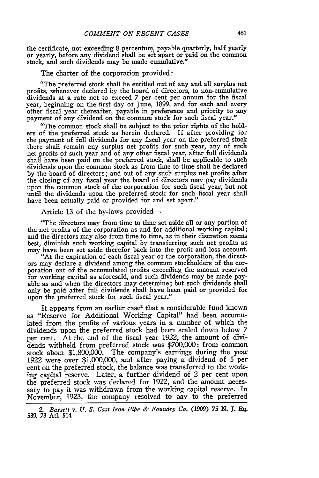the certificate, not exceeding 8 percentum, payable quarterly, half yearly or yearly, before any dividend shall be set apart or paid on the common stock, and such dividends may be made cumulative."

The charter of the corporation provided:

"The preferred stock shall be entitled out of any and all surplus net profits, whenever declared by the board of directors, to non-cumulative dividends at a rate not to exceed 7 per cent per annum for the fiscal year, beginning on the first day of June, 1899, and for each and every other fiscal year thereafter, payable in preference and priority to any payment of any dividend on the common stock for such fiscal year."

"The common stock shall be subject to the prior rights of the holders of the preferred stock as herein declared. If after providing for the payment of full dividends for any fiscal year on the preferred stock there shall remain any surplus net profits for such year, any of such net profits of such year and of any other fiscal year, after full dividends shall have been paid on the preferred stock, shall be applicable to such dividends upon the common stock as from time to time shall be declared by the board of directors; and out of any such surplus net profits after the closing of any fiscal year the board of directors may pay dividends upon the common stock of the corporation for such fiscal year, but not until the dividends upon the preferred stock for such fiscal year shall have been actually paid or provided for and set apart."

Article 13 of the by-laws provided—

"The directors may from time to time set aside all or any portion of the net profits of the corporation as and for additional working capital; and the directors may also from time to time, as in their discretion seems best, diminish such working capital by transferring such net profits as may have been set aside therefor back into the profit and loss account.

"At the expiration of each fiscal year of the corporation, the directors may declare a dividend among the common stockholders of the corporation out of the accumulated profits exceeding the amount reserved for working capital as aforesaid, and such dividends may be made payable as and when the directors may determine; but such dividends shall only be paid after full dividends shall have been paid or provided for upon the preferred stock for such fiscal year."

It appears from an earlier case<sup>2</sup> that a considerable fund known as "Reserve for Additional Working Capital" had been accumulated from the profits of various years in a number of which the dividends upon the preferred stock had been scaled down below 7 per cent. At the end of the fiscal year 1922, the amount of dividends withheld from preferred stock was \$700,000; from common stock about \$1,800,000. The company's earnings during the year 1922 were over \$1,000,000, and after paying a dividend of 5 per cent on the preferred stock, the balance was transferred to the working capital reserve. Later, a further dividend of 2 per cent upon the preferred stock was declared for 1922, and the amount necessary to pay it was withdrawn from the working capital reserve. In November, 1923, the company resolved to pay to the preferred

*<sup>2.</sup> Bassett v. U. S. Cast Iron Pipe & Foundry Co.* (1909) 75 **N. J. Eq.** 539. *73* AtI. 514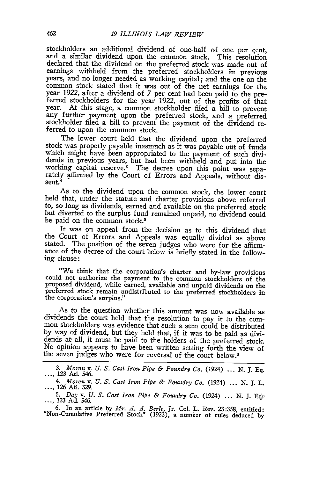stockholders an additional dividend of one-half of one per qent, and a similar dividend upon the common stock. This resolution declared that the dividend on the preferred stock was made out of earnings withheld from the preferred stockholders in previous years, and no longer needed as working capital; and the one on the common stock stated that it was out of the net earnings for the year 1922, after a dividend of 7 per cent had been paid to the pre- ferred stockholders for the year 1922, out of the profits of that year. At this stage, a common stockholder filed a bill to prevent stockholder filed a bill to prevent the payment of the dividend referred to upon the common stock.

The lower court held that the dividend upon the preferred stock was properly payable inasmuch as it was payable out of funds which might have been appropriated to the payment of such dividends in previous years, but had been withheld and put into the working capital reserve.<sup>3</sup> The decree upon this point was sepa-rately affirmed by the Court of Errors and Appeals, without dissent.<sup>4</sup>

As to the dividend upon the common stock, the lower court held that, under the statute and charter provisions above referred to, so long as dividends, earned and available on the preferred stock but diverted to the surplus fund remained unpaid, no dividend could be paid on the common stock.<sup>5</sup>

It was on appeal from the decision as to this dividend that the Court of Errors and Appeals was equally divided as above stated. The position of the seven judges who were for the affirmance of the decree of the court below is briefly stated in the following clause:

"We think that the corporation's charter and by-law provisions could not authorize the payment to the common stockholders of the proposed dividend, while earned, available and unpaid dividends on the preferred stock remain the corporation's surplus."

As to the question whether this amount was now available as dividends the court held that the resolution to pay it to the common stockholders was evidence that such a sum could be distributed by way of dividend, but they held that, if it was to be paid as dividends at all, it must be paid to the holders of the preferred stock. No opinion appears to have been written setting forth the view of the seven judges who were for reversal of the court below.,

*<sup>3.</sup> Moran v. U. S. Cast Iron Pipe & Foundry Co. (1924)* ... *N.* J. Eq. 123 Atl. 546.

*<sup>4.</sup> Moran v. U. S. Cast Iron Pipe & Foundry Co.* (1924) **...** *N.* **J.** L. *126* Atl. 329.

*<sup>5.</sup> Day v. U. S. Cast Iron Pipe & Foundry Co.* (1924) ... *N.* J. Eqb 123 Atl. 546.

<sup>6.</sup> In an article by *Mr. A. A. Berle,* Jr. Col. L. Rev. 23:358, entitled: "Non-Cumulative Preferred Stock" (1923), a number of rules deduced by